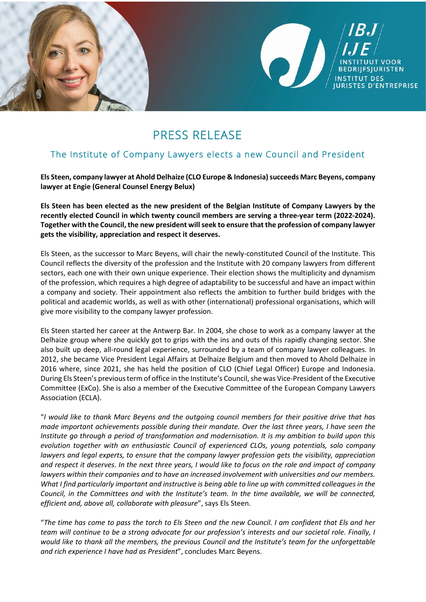

## PRESS RELEASE

## The Institute of Company Lawyers elects a new Council and President

Els Steen, company lawyer at Ahold Delhaize (CLO Europe & Indonesia) succeeds Marc Beyens, company **lawyer at Engie (General Counsel Energy Belux)** 

**Els Steen has been elected as the new president of the Belgian Institute of Company Lawyers by the recently elected Council in which twenty council members are serving a three-year term (2022-2024). Together with the Council, the new president will seek to ensure that the profession of company lawyer gets the visibility, appreciation and respect it deserves.** 

Els Steen, as the successor to Marc Beyens, will chair the newly-constituted Council of the Institute. This Council reflects the diversity of the profession and the Institute with 20 company lawyers from different sectors, each one with their own unique experience. Their election shows the multiplicity and dynamism of the profession, which requires a high degree of adaptability to be successful and have an impact within a company and society. Their appointment also reflects the ambition to further build bridges with the political and academic worlds, as well as with other (international) professional organisations, which will give more visibility to the company lawyer profession.

Els Steen started her career at the Antwerp Bar. In 2004, she chose to work as a company lawyer at the Delhaize group where she quickly got to grips with the ins and outs of this rapidly changing sector. She also built up deep, all-round legal experience, surrounded by a team of company lawyer colleagues. In 2012, she became Vice President Legal Affairs at Delhaize Belgium and then moved to Ahold Delhaize in 2016 where, since 2021, she has held the position of CLO (Chief Legal Officer) Europe and Indonesia. During Els Steen's previous term of office in the Institute's Council, she was Vice-President of the Executive Committee (ExCo). She is also a member of the Executive Committee of the European Company Lawyers Association (ECLA).

"*I would like to thank Marc Beyens and the outgoing council members for their positive drive that has made important achievements possible during their mandate. Over the last three years, I have seen the Institute go through a period of transformation and modernisation. It is my ambition to build upon this evolution together with an enthusiastic Council of experienced CLOs, young potentials, solo company lawyers and legal experts, to ensure that the company lawyer profession gets the visibility, appreciation and respect it deserves. In the next three years, I would like to focus on the role and impact of company lawyers within their companies and to have an increased involvement with universities and our members. What I find particularly important and instructive is being able to line up with committed colleagues in the Council, in the Committees and with the Institute's team. In the time available, we will be connected, efficient and, above all, collaborate with pleasure*", says Els Steen.

"*The time has come to pass the torch to Els Steen and the new Council. I am confident that Els and her team will continue to be a strong advocate for our profession's interests and our societal role. Finally, I would like to thank all the members, the previous Council and the Institute's team for the unforgettable and rich experience I have had as President*", concludes Marc Beyens.